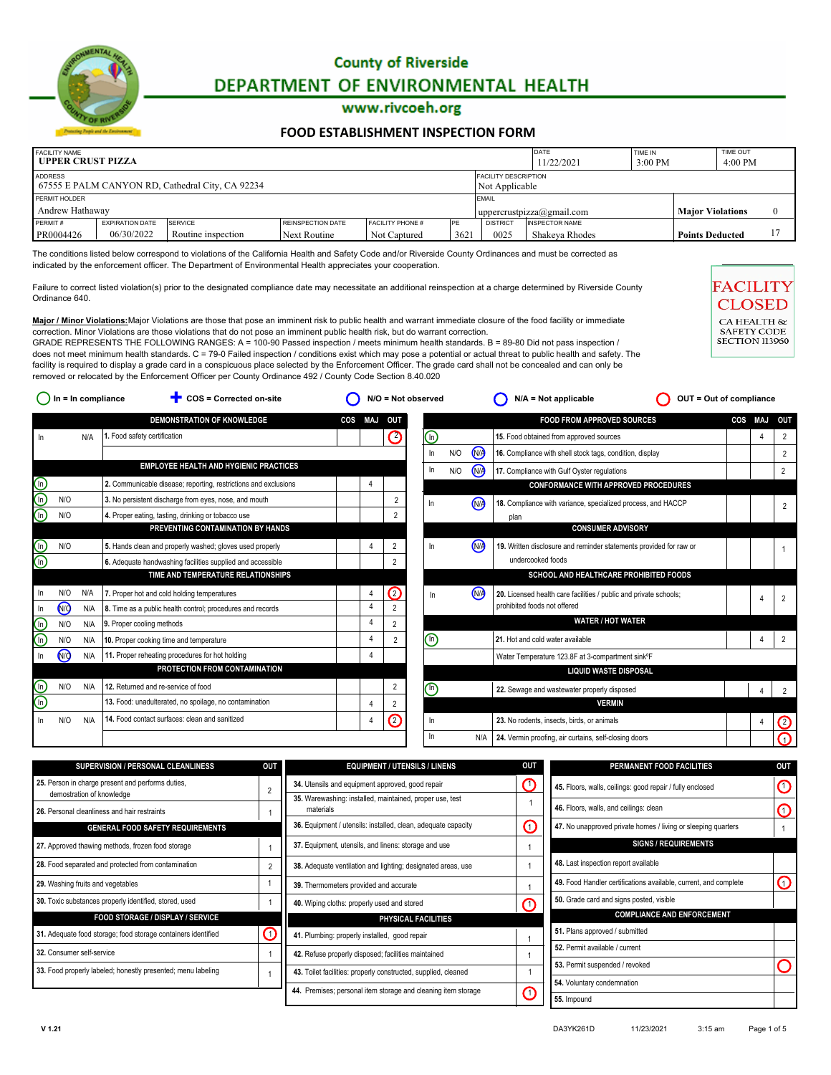

#### www.rivcoeh.org

#### **[FOOD ESTABLISHMENT INSPECTION FORM](http://rivcoeh.org/)**

| <b>FACILITY NAME</b><br><b>LUPPER CRUST PIZZA</b>                                                            |                        |                    |                   |                         |     |                                                      | DATE<br>11/22/2021    |  | TIME OUT<br>4:00 PM    |  |  |
|--------------------------------------------------------------------------------------------------------------|------------------------|--------------------|-------------------|-------------------------|-----|------------------------------------------------------|-----------------------|--|------------------------|--|--|
| ADDRESS<br><b>FACILITY DESCRIPTION</b><br>67555 E PALM CANYON RD, Cathedral City, CA 92234<br>Not Applicable |                        |                    |                   |                         |     |                                                      |                       |  |                        |  |  |
| PERMIT HOLDER                                                                                                |                        |                    |                   |                         |     |                                                      | EMAIL                 |  |                        |  |  |
| Andrew Hathaway                                                                                              |                        |                    |                   |                         |     | <b>Maior Violations</b><br>uppercrustpizza@gmail.com |                       |  |                        |  |  |
| PERMIT#                                                                                                      | <b>EXPIRATION DATE</b> | <b>SERVICE</b>     | REINSPECTION DATE | <b>FACILITY PHONE #</b> | PE  | <b>DISTRICT</b>                                      | <b>INSPECTOR NAME</b> |  |                        |  |  |
| PR0004426                                                                                                    | 06/30/2022             | Routine inspection | Next Routine      | Not Captured            | 362 | 0025                                                 | Shakeva Rhodes        |  | <b>Points Deducted</b> |  |  |

The conditions listed below correspond to violations of the California Health and Safety Code and/or Riverside County Ordinances and must be corrected as indicated by the enforcement officer. The Department of Environmental Health appreciates your cooperation.

Failure to correct listed violation(s) prior to the designated compliance date may necessitate an additional reinspection at a charge determined by Riverside County Ordinance 640.

**Major / Minor Violations:**Major Violations are those that pose an imminent risk to public health and warrant immediate closure of the food facility or immediate correction. Minor Violations are those violations that do not pose an imminent public health risk, but do warrant correction. GRADE REPRESENTS THE FOLLOWING RANGES:  $A = 100-90$  Passed inspection / meets minimum health standards. B = 89-80 Did not pass inspection / does not meet minimum health standards. C = 79-0 Failed inspection / conditions exist which may pose a potential or actual threat to public health and safety. The

facility is required to display a grade card in a conspicuous place selected by the Enforcement Officer. The grade card shall not be concealed and can only be removed or relocated by the Enforcement Officer per County Ordinance 492 / County Code Section 8.40.020

| COS = Corrected on-site<br>In = In compliance |     |                                                                 |                           |                |                    |     | $N/A = Not applicable$ | OUT = Out of compliance |                                                                    |     |            |                |
|-----------------------------------------------|-----|-----------------------------------------------------------------|---------------------------|----------------|--------------------|-----|------------------------|-------------------------|--------------------------------------------------------------------|-----|------------|----------------|
|                                               |     | <b>DEMONSTRATION OF KNOWLEDGE</b>                               | <b>COS</b>                | <b>MAJ</b>     | <b>OUT</b>         |     |                        |                         | <b>FOOD FROM APPROVED SOURCES</b>                                  | COS | <b>MAJ</b> | OUT            |
|                                               | N/A | 1. Food safety certification                                    |                           |                | Ø                  | ⋒   |                        |                         | 15. Food obtained from approved sources                            |     | 4          | $\overline{2}$ |
|                                               |     |                                                                 |                           |                |                    | In. | N/O                    | <b>WA</b>               | 16. Compliance with shell stock tags, condition, display           |     |            | $\overline{2}$ |
|                                               |     | <b>EMPLOYEE HEALTH AND HYGIENIC PRACTICES</b>                   |                           |                |                    | In. | N/O                    |                         | 17. Compliance with Gulf Oyster regulations                        |     |            | $\overline{2}$ |
|                                               |     | 2. Communicable disease; reporting, restrictions and exclusions |                           |                |                    |     |                        |                         | <b>CONFORMANCE WITH APPROVED PROCEDURES</b>                        |     |            |                |
| N/O                                           |     | 3. No persistent discharge from eyes, nose, and mouth           |                           |                | $\overline{2}$     | In  |                        |                         | 18. Compliance with variance, specialized process, and HACCP       |     |            | 2              |
| N/O                                           |     | 4. Proper eating, tasting, drinking or tobacco use              |                           |                | $\overline{2}$     |     |                        |                         | plan                                                               |     |            |                |
|                                               |     | PREVENTING CONTAMINATION BY HANDS                               |                           |                |                    |     |                        |                         | <b>CONSUMER ADVISORY</b>                                           |     |            |                |
| N/O                                           |     | 5. Hands clean and properly washed; gloves used properly        |                           | 4              | 2                  | In  |                        | (N)                     | 19. Written disclosure and reminder statements provided for raw or |     |            |                |
|                                               |     | 6. Adequate handwashing facilities supplied and accessible      |                           |                | $\overline{2}$     |     |                        |                         | undercooked foods                                                  |     |            |                |
|                                               |     | TIME AND TEMPERATURE RELATIONSHIPS                              |                           |                |                    |     |                        |                         | SCHOOL AND HEALTHCARE PROHIBITED FOODS                             |     |            |                |
| N/O                                           | N/A | 7. Proper hot and cold holding temperatures                     |                           | 4              | $\bm{\mathcal{O}}$ | In  |                        | (W)                     | 20. Licensed health care facilities / public and private schools;  |     |            | $\overline{2}$ |
| <b>NO</b>                                     | N/A | 8. Time as a public health control; procedures and records      |                           | $\overline{4}$ | $\overline{2}$     |     |                        |                         | prohibited foods not offered                                       |     |            |                |
| N/O                                           | N/A |                                                                 |                           | 4              | $\overline{2}$     |     |                        |                         | <b>WATER / HOT WATER</b>                                           |     |            |                |
| N/O                                           | N/A | 10. Proper cooking time and temperature                         |                           | 4              | $\overline{2}$     | ⊕   |                        |                         | 21. Hot and cold water available                                   |     | 4          | 2              |
| <b>N/Q</b>                                    | N/A | 11. Proper reheating procedures for hot holding                 |                           |                |                    |     |                        |                         | Water Temperature 123.8F at 3-compartment sink°F                   |     |            |                |
|                                               |     | PROTECTION FROM CONTAMINATION                                   |                           |                |                    |     |                        |                         | <b>LIQUID WASTE DISPOSAL</b>                                       |     |            |                |
| N/O                                           | N/A | 12. Returned and re-service of food                             |                           |                | 2                  |     |                        |                         | 22. Sewage and wastewater properly disposed                        |     |            | $\overline{2}$ |
|                                               |     | 13. Food: unadulterated, no spoilage, no contamination          |                           | 4              | 2                  |     |                        |                         | <b>VERMIN</b>                                                      |     |            |                |
| N/O                                           | N/A | 14. Food contact surfaces: clean and sanitized                  |                           | 4              | $\circledcirc$     | In. |                        |                         | 23. No rodents, insects, birds, or animals                         |     |            | Ø              |
|                                               |     |                                                                 |                           |                |                    | In. |                        | N/A                     | 24. Vermin proofing, air curtains, self-closing doors              |     |            |                |
|                                               |     |                                                                 | 9. Proper cooling methods |                |                    |     | $\circledR$            | $N/O = Not observed$    | <b>M</b><br>(NA                                                    |     |            |                |

| $\mathbb{C}$<br>25. Person in charge present and performs duties,<br>34. Utensils and equipment approved, good repair<br>45. Floors, walls, ceilings: good repair / fully enclosed<br>$\overline{2}$ | $\mathbf{\mathbf{\mathbf{\mathbf{O}}} }$ |
|------------------------------------------------------------------------------------------------------------------------------------------------------------------------------------------------------|------------------------------------------|
|                                                                                                                                                                                                      |                                          |
| demostration of knowledge<br>35. Warewashing: installed, maintained, proper use, test<br>46. Floors, walls, and ceilings: clean<br>materials<br>26. Personal cleanliness and hair restraints         |                                          |
| ⋒<br>36. Equipment / utensils: installed, clean, adequate capacity<br>47. No unapproved private homes / living or sleeping quarters<br><b>GENERAL FOOD SAFETY REQUIREMENTS</b>                       |                                          |
| <b>SIGNS / REQUIREMENTS</b><br>37. Equipment, utensils, and linens: storage and use<br>27. Approved thawing methods, frozen food storage                                                             |                                          |
| 48. Last inspection report available<br>28. Food separated and protected from contamination<br>$\overline{2}$<br>38. Adequate ventilation and lighting; designated areas, use                        |                                          |
| 49. Food Handler certifications available, current, and complete<br>29. Washing fruits and vegetables<br>39. Thermometers provided and accurate                                                      | $\mathbf O$                              |
| 50. Grade card and signs posted, visible<br>30. Toxic substances properly identified, stored, used<br>∩<br>40. Wiping cloths: properly used and stored                                               |                                          |
| <b>COMPLIANCE AND ENFORCEMENT</b><br><b>FOOD STORAGE / DISPLAY / SERVICE</b><br>PHYSICAL FACILITIES                                                                                                  |                                          |
| 51. Plans approved / submitted<br>$\left( 1\right)$<br>31. Adequate food storage; food storage containers identified<br>41. Plumbing: properly installed, good repair                                |                                          |
| 52. Permit available / current<br>32. Consumer self-service<br>42. Refuse properly disposed; facilities maintained                                                                                   |                                          |
| 53. Permit suspended / revoked                                                                                                                                                                       |                                          |
| 33. Food properly labeled; honestly presented; menu labeling<br>43. Toilet facilities: properly constructed, supplied, cleaned<br>54. Voluntary condemnation                                         |                                          |
| 44. Premises; personal item storage and cleaning item storage<br>$\mathbf O$<br>55. Impound                                                                                                          |                                          |

**CILIT**<br>**BBALTH OF**<br>FETY COD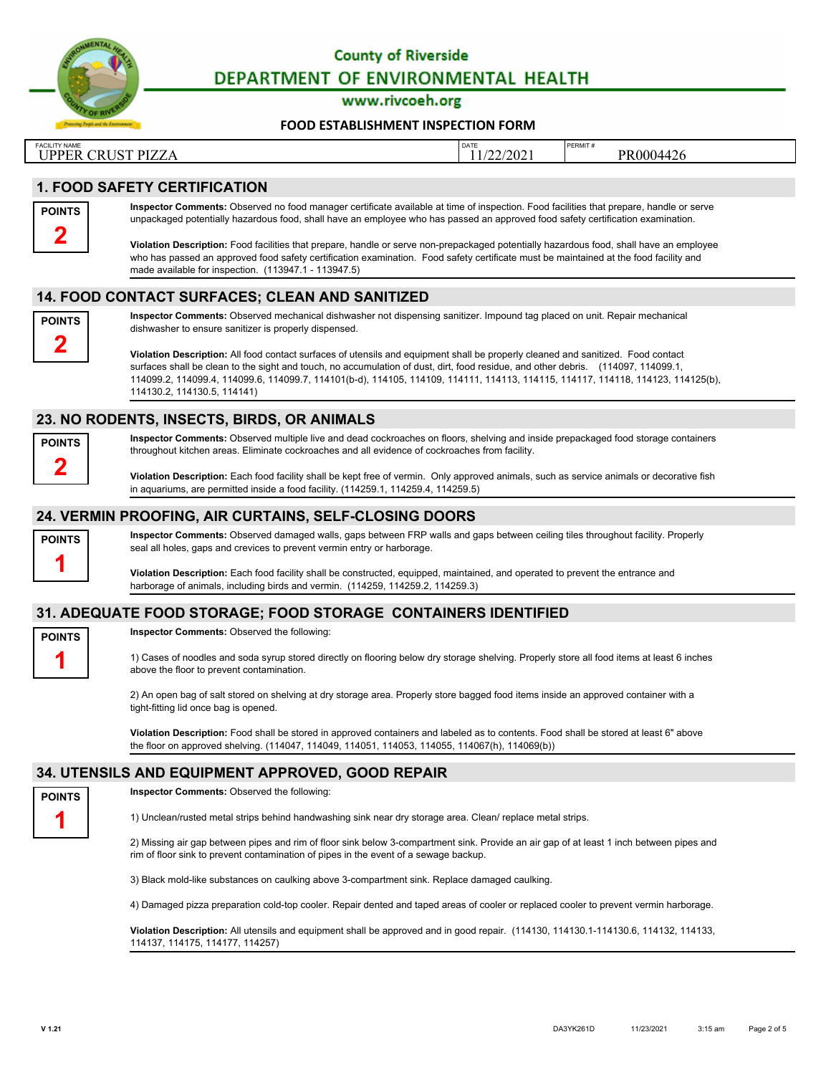

www.rivcoeh.org

#### **[FOOD ESTABLISHMENT INSPECTION FORM](http://rivcoeh.org/)**

| <b>FACILITY NAME</b>                                                   | DATE      | PERMIT#<br>the contract of the contract of the contract of the contract of the contract of |
|------------------------------------------------------------------------|-----------|--------------------------------------------------------------------------------------------|
| $CDI$ ICT DI $77$<br><b>IDDED</b><br>L<br>'EN<br>ILLA<br><u>unuu 1</u> | 1/22/2021 | PR0004426                                                                                  |

### **1. FOOD SAFETY CERTIFICATION**



**Inspector Comments:** Observed no food manager certificate available at time of inspection. Food facilities that prepare, handle or serve unpackaged potentially hazardous food, shall have an employee who has passed an approved food safety certification examination.

**Violation Description:** Food facilities that prepare, handle or serve non-prepackaged potentially hazardous food, shall have an employee who has passed an approved food safety certification examination. Food safety certificate must be maintained at the food facility and made available for inspection. (113947.1 - 113947.5)

### **14. FOOD CONTACT SURFACES; CLEAN AND SANITIZED**



**Inspector Comments:** Observed mechanical dishwasher not dispensing sanitizer. Impound tag placed on unit. Repair mechanical dishwasher to ensure sanitizer is properly dispensed.

**Violation Description:** All food contact surfaces of utensils and equipment shall be properly cleaned and sanitized. Food contact surfaces shall be clean to the sight and touch, no accumulation of dust, dirt, food residue, and other debris. (114097, 114099.1, 114099.2, 114099.4, 114099.6, 114099.7, 114101(b-d), 114105, 114109, 114111, 114113, 114115, 114117, 114118, 114123, 114125(b), 114130.2, 114130.5, 114141)

### **23. NO RODENTS, INSECTS, BIRDS, OR ANIMALS**

**POINTS 2**

**Inspector Comments:** Observed multiple live and dead cockroaches on floors, shelving and inside prepackaged food storage containers throughout kitchen areas. Eliminate cockroaches and all evidence of cockroaches from facility.

**Violation Description:** Each food facility shall be kept free of vermin. Only approved animals, such as service animals or decorative fish in aquariums, are permitted inside a food facility. (114259.1, 114259.4, 114259.5)

# **24. VERMIN PROOFING, AIR CURTAINS, SELF-CLOSING DOORS**



**Inspector Comments:** Observed damaged walls, gaps between FRP walls and gaps between ceiling tiles throughout facility. Properly seal all holes, gaps and crevices to prevent vermin entry or harborage.

**Violation Description:** Each food facility shall be constructed, equipped, maintained, and operated to prevent the entrance and harborage of animals, including birds and vermin. (114259, 114259.2, 114259.3)

## **31. ADEQUATE FOOD STORAGE; FOOD STORAGE CONTAINERS IDENTIFIED**



**Inspector Comments:** Observed the following:

1) Cases of noodles and soda syrup stored directly on flooring below dry storage shelving. Properly store all food items at least 6 inches above the floor to prevent contamination.

2) An open bag of salt stored on shelving at dry storage area. Properly store bagged food items inside an approved container with a tight-fitting lid once bag is opened.

**Violation Description:** Food shall be stored in approved containers and labeled as to contents. Food shall be stored at least 6" above the floor on approved shelving. (114047, 114049, 114051, 114053, 114055, 114067(h), 114069(b))

## **34. UTENSILS AND EQUIPMENT APPROVED, GOOD REPAIR**



**Inspector Comments:** Observed the following:

1) Unclean/rusted metal strips behind handwashing sink near dry storage area. Clean/ replace metal strips.

2) Missing air gap between pipes and rim of floor sink below 3-compartment sink. Provide an air gap of at least 1 inch between pipes and rim of floor sink to prevent contamination of pipes in the event of a sewage backup.

3) Black mold-like substances on caulking above 3-compartment sink. Replace damaged caulking.

4) Damaged pizza preparation cold-top cooler. Repair dented and taped areas of cooler or replaced cooler to prevent vermin harborage.

**Violation Description:** All utensils and equipment shall be approved and in good repair. (114130, 114130.1-114130.6, 114132, 114133, 114137, 114175, 114177, 114257)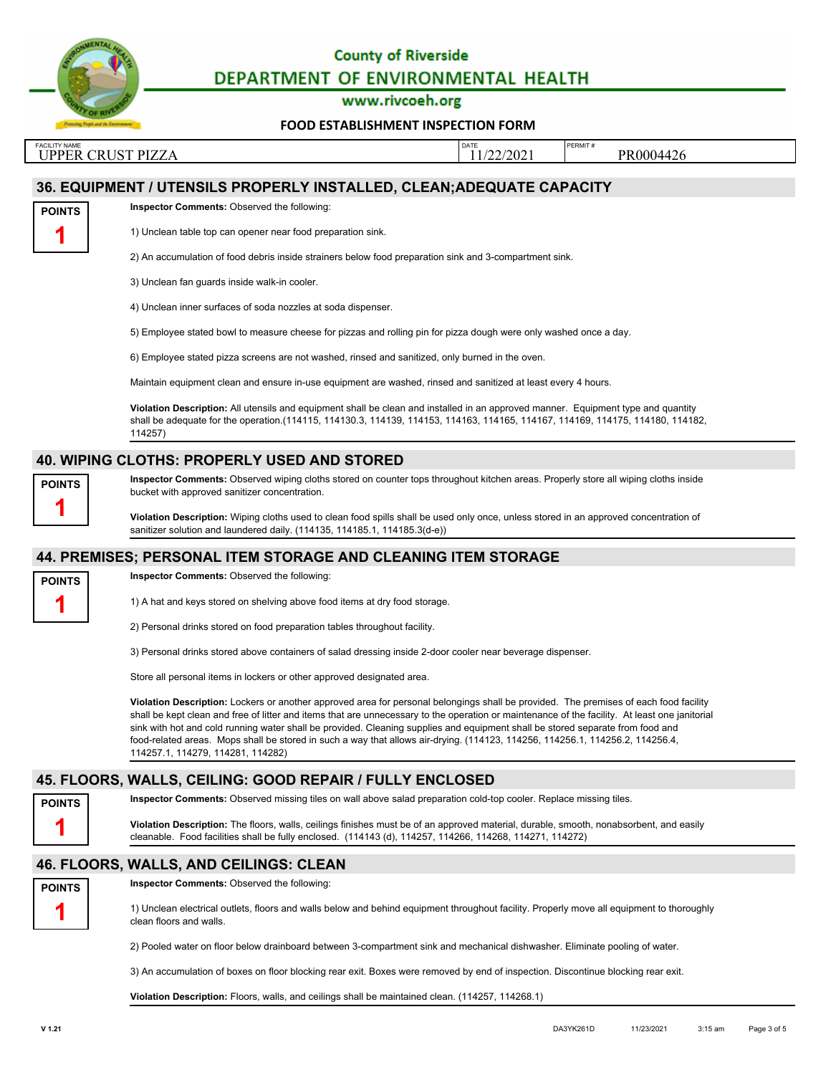

www.rivcoeh.org

**[FOOD ESTABLISHMENT INSPECTION FORM](http://rivcoeh.org/)**

FACILITY NAME PERMIT # PERMIT # PERMIT # PERMIT # PERMIT # PERMIT # PERMIT # PERMIT # PERMIT # PERMIT # PERMIT # PERMIT # PERMIT # PERMIT # PERMIT # PERMIT # PERMIT # PERMIT # PERMIT # PERMIT # PERMIT # PERMIT # PERMIT # P UPPER CRUST PIZZA  $\boxed{1/22/2021}$  PR0004426

## **36. EQUIPMENT / UTENSILS PROPERLY INSTALLED, CLEAN;ADEQUATE CAPACITY**

**POINTS 1**

1) Unclean table top can opener near food preparation sink.

2) An accumulation of food debris inside strainers below food preparation sink and 3-compartment sink.

3) Unclean fan guards inside walk-in cooler.

**Inspector Comments:** Observed the following:

4) Unclean inner surfaces of soda nozzles at soda dispenser.

5) Employee stated bowl to measure cheese for pizzas and rolling pin for pizza dough were only washed once a day.

6) Employee stated pizza screens are not washed, rinsed and sanitized, only burned in the oven.

Maintain equipment clean and ensure in-use equipment are washed, rinsed and sanitized at least every 4 hours.

**Violation Description:** All utensils and equipment shall be clean and installed in an approved manner. Equipment type and quantity shall be adequate for the operation.(114115, 114130.3, 114139, 114153, 114163, 114165, 114167, 114169, 114175, 114180, 114182, 114257)

### **40. WIPING CLOTHS: PROPERLY USED AND STORED**



**Inspector Comments:** Observed wiping cloths stored on counter tops throughout kitchen areas. Properly store all wiping cloths inside bucket with approved sanitizer concentration.

**Violation Description:** Wiping cloths used to clean food spills shall be used only once, unless stored in an approved concentration of sanitizer solution and laundered daily. (114135, 114185.1, 114185.3(d-e))

## **44. PREMISES; PERSONAL ITEM STORAGE AND CLEANING ITEM STORAGE**

| <b>POINTS</b> |  |
|---------------|--|
|               |  |

**Inspector Comments:** Observed the following:

1) A hat and keys stored on shelving above food items at dry food storage.

2) Personal drinks stored on food preparation tables throughout facility.

3) Personal drinks stored above containers of salad dressing inside 2-door cooler near beverage dispenser.

Store all personal items in lockers or other approved designated area.

**Violation Description:** Lockers or another approved area for personal belongings shall be provided. The premises of each food facility shall be kept clean and free of litter and items that are unnecessary to the operation or maintenance of the facility. At least one janitorial sink with hot and cold running water shall be provided. Cleaning supplies and equipment shall be stored separate from food and food-related areas. Mops shall be stored in such a way that allows air-drying. (114123, 114256, 114256.1, 114256.2, 114256.4, 114257.1, 114279, 114281, 114282)

# **45. FLOORS, WALLS, CEILING: GOOD REPAIR / FULLY ENCLOSED**

**Inspector Comments:** Observed missing tiles on wall above salad preparation cold-top cooler. Replace missing tiles.

**Violation Description:** The floors, walls, ceilings finishes must be of an approved material, durable, smooth, nonabsorbent, and easily cleanable. Food facilities shall be fully enclosed. (114143 (d), 114257, 114266, 114268, 114271, 114272)

## **46. FLOORS, WALLS, AND CEILINGS: CLEAN**



**POINTS 1**

**Inspector Comments:** Observed the following:

1) Unclean electrical outlets, floors and walls below and behind equipment throughout facility. Properly move all equipment to thoroughly clean floors and walls.

2) Pooled water on floor below drainboard between 3-compartment sink and mechanical dishwasher. Eliminate pooling of water.

3) An accumulation of boxes on floor blocking rear exit. Boxes were removed by end of inspection. Discontinue blocking rear exit.

**Violation Description:** Floors, walls, and ceilings shall be maintained clean. (114257, 114268.1)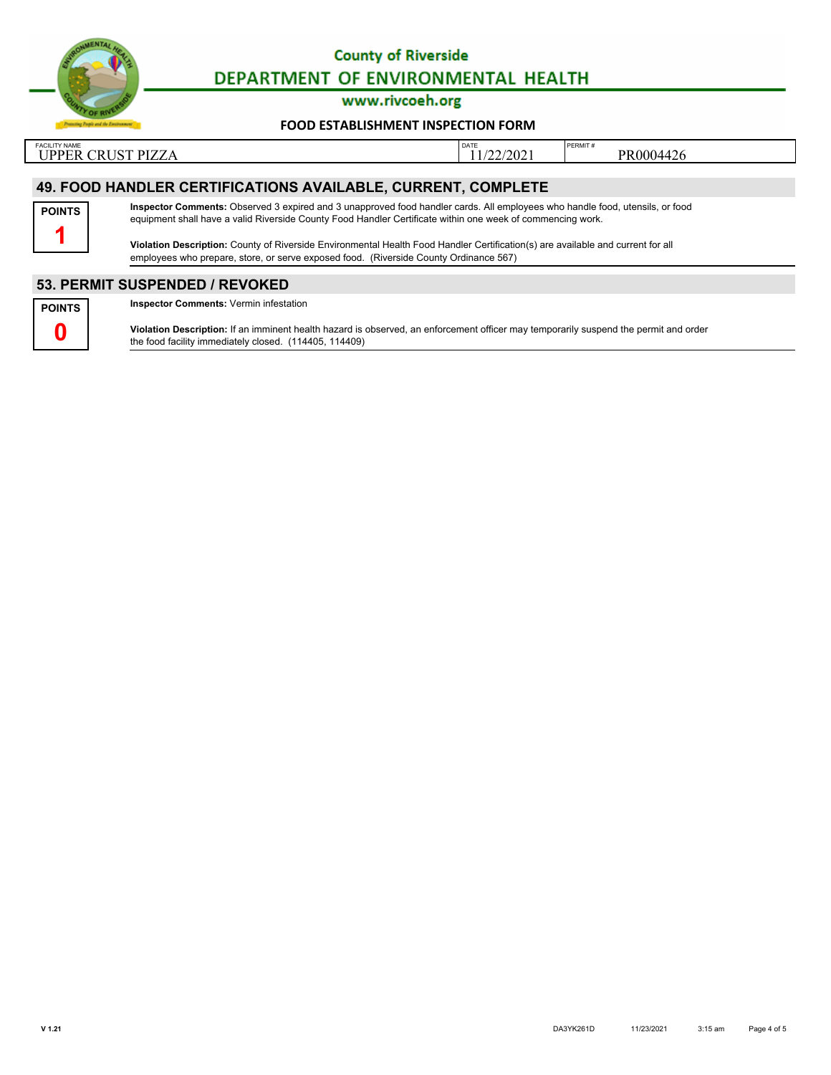

www.rivcoeh.org

#### **[FOOD ESTABLISHMENT INSPECTION FORM](http://rivcoeh.org/)**

FACILITY NAME PERMIT # PERMIT # PERMIT # PERMIT # PERMIT # PERMIT # PERMIT # PERMIT # PERMIT # PERMIT # PERMIT # PERMIT # PERMIT # PERMIT # PERMIT # PERMIT # PERMIT # PERMIT # PERMIT # PERMIT # PERMIT # PERMIT # PERMIT # P UPPER CRUST PIZZA  $\boxed{\text{11/22/2021}}$  PR0004426

# **49. FOOD HANDLER CERTIFICATIONS AVAILABLE, CURRENT, COMPLETE**



**Inspector Comments:** Observed 3 expired and 3 unapproved food handler cards. All employees who handle food, utensils, or food equipment shall have a valid Riverside County Food Handler Certificate within one week of commencing work.

**Violation Description:** County of Riverside Environmental Health Food Handler Certification(s) are available and current for all employees who prepare, store, or serve exposed food. (Riverside County Ordinance 567)

### **53. PERMIT SUSPENDED / REVOKED**



**Inspector Comments:** Vermin infestation

**Violation Description:** If an imminent health hazard is observed, an enforcement officer may temporarily suspend the permit and order the food facility immediately closed. (114405, 114409)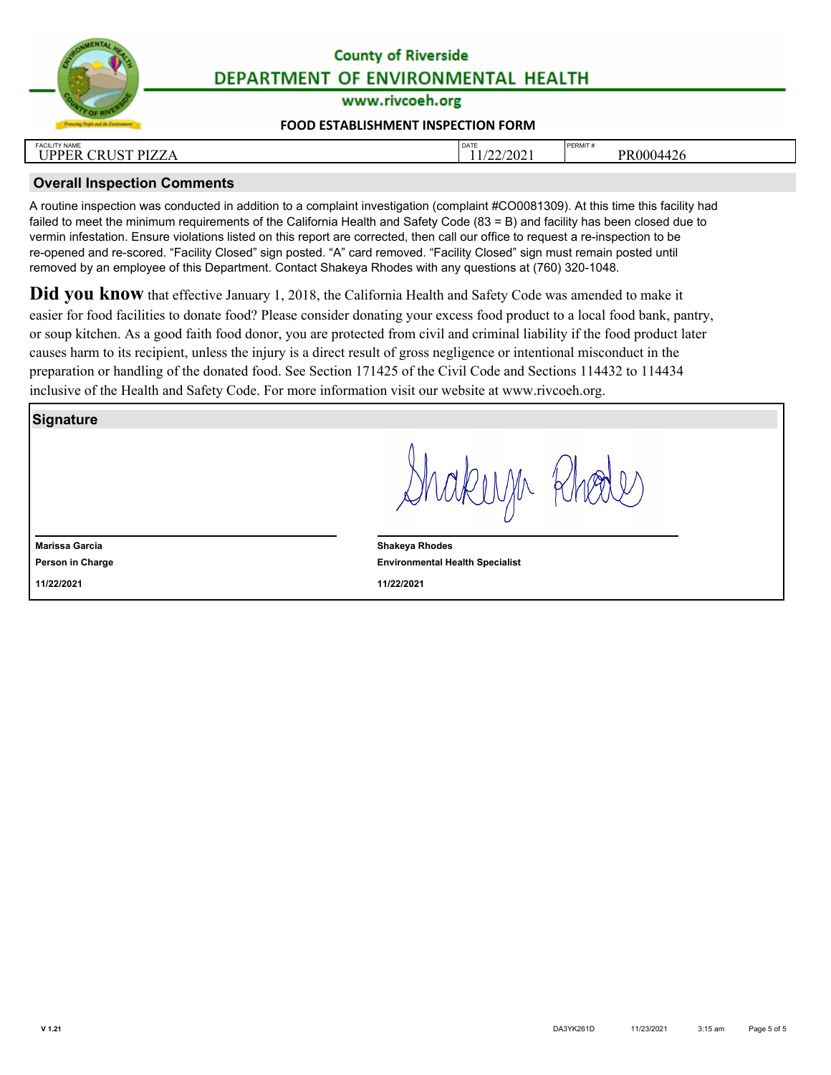

www.rivcoeh.org

#### **[FOOD ESTABLISHMENT INSPECTION FORM](http://rivcoeh.org/)**

| <b>FACILITY NAME</b><br><b>IICT DI77</b><br><b>IDDER</b><br>$\sim$ $\sim$<br>ΈK<br>в.<br>1221<br><u>UNUDI</u> | <b>DATE</b><br>/22/2021 | PERMIT #<br><b>PR0004</b><br>1044 ن<br>⊤∠∪ |
|---------------------------------------------------------------------------------------------------------------|-------------------------|--------------------------------------------|
|                                                                                                               |                         |                                            |

# **Overall Inspection Comments**

A routine inspection was conducted in addition to a complaint investigation (complaint #CO0081309). At this time this facility had failed to meet the minimum requirements of the California Health and Safety Code (83 = B) and facility has been closed due to vermin infestation. Ensure violations listed on this report are corrected, then call our office to request a re-inspection to be re-opened and re-scored. "Facility Closed" sign posted. "A" card removed. "Facility Closed" sign must remain posted until removed by an employee of this Department. Contact Shakeya Rhodes with any questions at (760) 320-1048.

**Did you know** that effective January 1, 2018, the California Health and Safety Code was amended to make it easier for food facilities to donate food? Please consider donating your excess food product to a local food bank, pantry, or soup kitchen. As a good faith food donor, you are protected from civil and criminal liability if the food product later causes harm to its recipient, unless the injury is a direct result of gross negligence or intentional misconduct in the preparation or handling of the donated food. See Section 171425 of the Civil Code and Sections 114432 to 114434 inclusive of the Health and Safety Code. For more information visit our website at www.rivcoeh.org.

**Signature**

**Person in Charge Marissa Garcia 11/22/2021**

akusa k

**Environmental Health Specialist Shakeya Rhodes 11/22/2021**